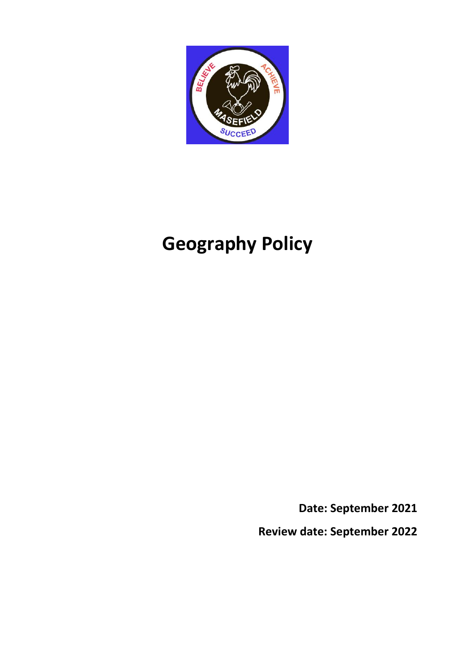

# **Geography Policy**

**Date: September 2021**

**Review date: September 2022**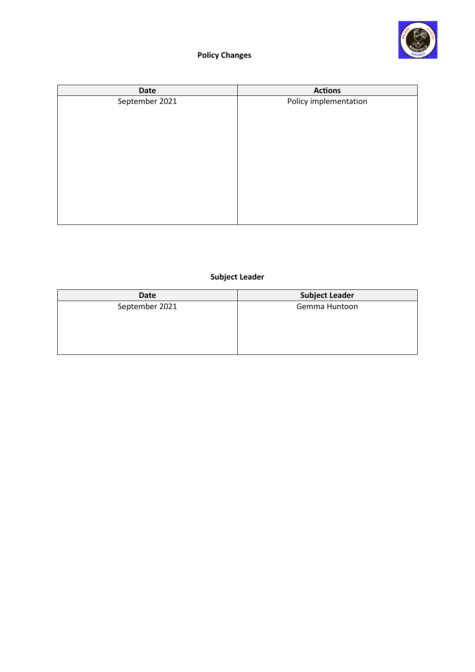

# **Policy Changes**

| <b>Date</b>    | <b>Actions</b>        |
|----------------|-----------------------|
| September 2021 | Policy implementation |
|                |                       |
|                |                       |
|                |                       |
|                |                       |
|                |                       |
|                |                       |
|                |                       |
|                |                       |
|                |                       |
|                |                       |

# **Subject Leader**

| Date           | <b>Subject Leader</b> |
|----------------|-----------------------|
| September 2021 | Gemma Huntoon         |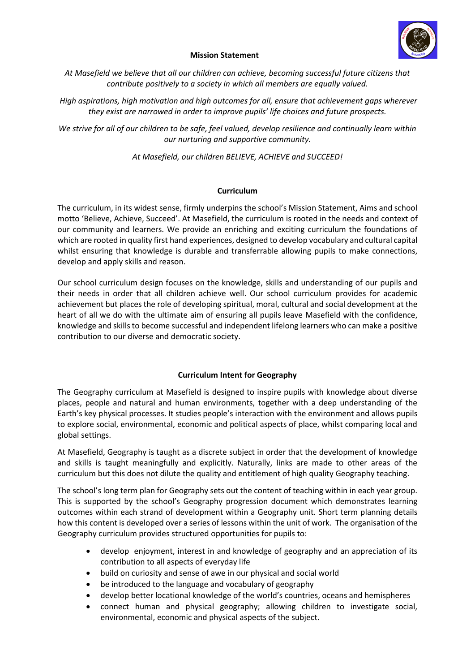

#### **Mission Statement**

*At Masefield we believe that all our children can achieve, becoming successful future citizens that contribute positively to a society in which all members are equally valued.*

*High aspirations, high motivation and high outcomes for all, ensure that achievement gaps wherever they exist are narrowed in order to improve pupils' life choices and future prospects.*

*We strive for all of our children to be safe, feel valued, develop resilience and continually learn within our nurturing and supportive community.*

*At Masefield, our children BELIEVE, ACHIEVE and SUCCEED!*

#### **Curriculum**

The curriculum, in its widest sense, firmly underpins the school's Mission Statement, Aims and school motto 'Believe, Achieve, Succeed'. At Masefield, the curriculum is rooted in the needs and context of our community and learners. We provide an enriching and exciting curriculum the foundations of which are rooted in quality first hand experiences, designed to develop vocabulary and cultural capital whilst ensuring that knowledge is durable and transferrable allowing pupils to make connections, develop and apply skills and reason.

Our school curriculum design focuses on the knowledge, skills and understanding of our pupils and their needs in order that all children achieve well. Our school curriculum provides for academic achievement but places the role of developing spiritual, moral, cultural and social development at the heart of all we do with the ultimate aim of ensuring all pupils leave Masefield with the confidence, knowledge and skills to become successful and independent lifelong learners who can make a positive contribution to our diverse and democratic society.

# **Curriculum Intent for Geography**

The Geography curriculum at Masefield is designed to inspire pupils with knowledge about diverse places, people and natural and human environments, together with a deep understanding of the Earth's key physical processes. It studies people's interaction with the environment and allows pupils to explore social, environmental, economic and political aspects of place, whilst comparing local and global settings.

At Masefield, Geography is taught as a discrete subject in order that the development of knowledge and skills is taught meaningfully and explicitly. Naturally, links are made to other areas of the curriculum but this does not dilute the quality and entitlement of high quality Geography teaching.

The school's long term plan for Geography sets out the content of teaching within in each year group. This is supported by the school's Geography progression document which demonstrates learning outcomes within each strand of development within a Geography unit. Short term planning details how this content is developed over a series of lessons within the unit of work. The organisation of the Geography curriculum provides structured opportunities for pupils to:

- develop enjoyment, interest in and knowledge of geography and an appreciation of its contribution to all aspects of everyday life
- build on curiosity and sense of awe in our physical and social world
- be introduced to the language and vocabulary of geography
- develop better locational knowledge of the world's countries, oceans and hemispheres
- connect human and physical geography; allowing children to investigate social, environmental, economic and physical aspects of the subject.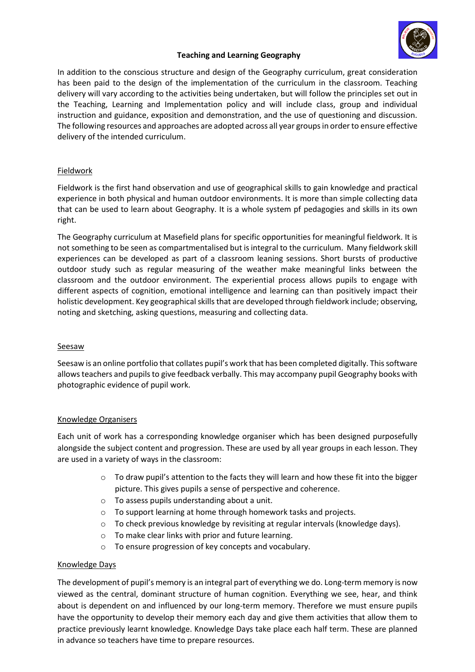

# **Teaching and Learning Geography**

In addition to the conscious structure and design of the Geography curriculum, great consideration has been paid to the design of the implementation of the curriculum in the classroom. Teaching delivery will vary according to the activities being undertaken, but will follow the principles set out in the Teaching, Learning and Implementation policy and will include class, group and individual instruction and guidance, exposition and demonstration, and the use of questioning and discussion. The following resources and approaches are adopted across all year groups in order to ensure effective delivery of the intended curriculum.

# Fieldwork

Fieldwork is the first hand observation and use of geographical skills to gain knowledge and practical experience in both physical and human outdoor environments. It is more than simple collecting data that can be used to learn about Geography. It is a whole system pf pedagogies and skills in its own right.

The Geography curriculum at Masefield plans for specific opportunities for meaningful fieldwork. It is not something to be seen as compartmentalised but is integral to the curriculum. Many fieldwork skill experiences can be developed as part of a classroom leaning sessions. Short bursts of productive outdoor study such as regular measuring of the weather make meaningful links between the classroom and the outdoor environment. The experiential process allows pupils to engage with different aspects of cognition, emotional intelligence and learning can than positively impact their holistic development. Key geographical skills that are developed through fieldwork include; observing, noting and sketching, asking questions, measuring and collecting data.

# Seesaw

Seesaw is an online portfolio that collates pupil's work that has been completed digitally. This software allows teachers and pupils to give feedback verbally. This may accompany pupil Geography books with photographic evidence of pupil work.

# Knowledge Organisers

Each unit of work has a corresponding knowledge organiser which has been designed purposefully alongside the subject content and progression. These are used by all year groups in each lesson. They are used in a variety of ways in the classroom:

- $\circ$  To draw pupil's attention to the facts they will learn and how these fit into the bigger picture. This gives pupils a sense of perspective and coherence.
- o To assess pupils understanding about a unit.
- o To support learning at home through homework tasks and projects.
- o To check previous knowledge by revisiting at regular intervals (knowledge days).
- o To make clear links with prior and future learning.
- o To ensure progression of key concepts and vocabulary.

# Knowledge Days

The development of pupil's memory is an integral part of everything we do. Long-term memory is now viewed as the central, dominant structure of human cognition. Everything we see, hear, and think about is dependent on and influenced by our long-term memory. Therefore we must ensure pupils have the opportunity to develop their memory each day and give them activities that allow them to practice previously learnt knowledge. Knowledge Days take place each half term. These are planned in advance so teachers have time to prepare resources.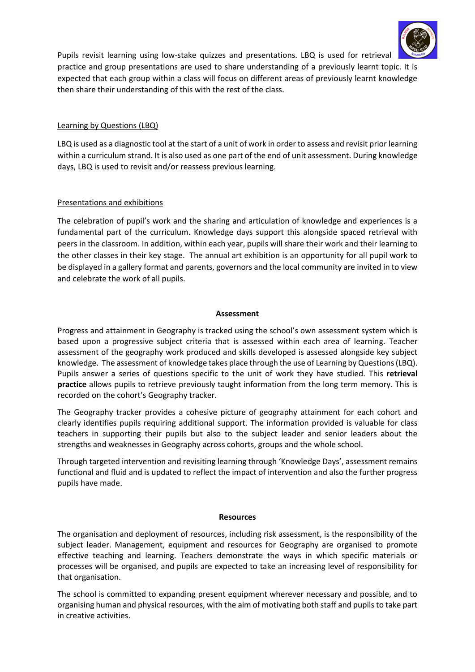

Pupils revisit learning using low-stake quizzes and presentations. LBQ is used for retrieval practice and group presentations are used to share understanding of a previously learnt topic. It is expected that each group within a class will focus on different areas of previously learnt knowledge then share their understanding of this with the rest of the class.

# Learning by Questions (LBQ)

LBQ is used as a diagnostic tool at the start of a unit of work in order to assess and revisit prior learning within a curriculum strand. It is also used as one part of the end of unit assessment. During knowledge days, LBQ is used to revisit and/or reassess previous learning.

# Presentations and exhibitions

The celebration of pupil's work and the sharing and articulation of knowledge and experiences is a fundamental part of the curriculum. Knowledge days support this alongside spaced retrieval with peers in the classroom. In addition, within each year, pupils will share their work and their learning to the other classes in their key stage. The annual art exhibition is an opportunity for all pupil work to be displayed in a gallery format and parents, governors and the local community are invited in to view and celebrate the work of all pupils.

#### **Assessment**

Progress and attainment in Geography is tracked using the school's own assessment system which is based upon a progressive subject criteria that is assessed within each area of learning. Teacher assessment of the geography work produced and skills developed is assessed alongside key subject knowledge. The assessment of knowledge takes place through the use of Learning by Questions (LBQ). Pupils answer a series of questions specific to the unit of work they have studied. This **retrieval practice** allows pupils to retrieve previously taught information from the long term memory. This is recorded on the cohort's Geography tracker.

The Geography tracker provides a cohesive picture of geography attainment for each cohort and clearly identifies pupils requiring additional support. The information provided is valuable for class teachers in supporting their pupils but also to the subject leader and senior leaders about the strengths and weaknesses in Geography across cohorts, groups and the whole school.

Through targeted intervention and revisiting learning through 'Knowledge Days', assessment remains functional and fluid and is updated to reflect the impact of intervention and also the further progress pupils have made.

#### **Resources**

The organisation and deployment of resources, including risk assessment, is the responsibility of the subject leader. Management, equipment and resources for Geography are organised to promote effective teaching and learning. Teachers demonstrate the ways in which specific materials or processes will be organised, and pupils are expected to take an increasing level of responsibility for that organisation.

The school is committed to expanding present equipment wherever necessary and possible, and to organising human and physical resources, with the aim of motivating both staff and pupils to take part in creative activities.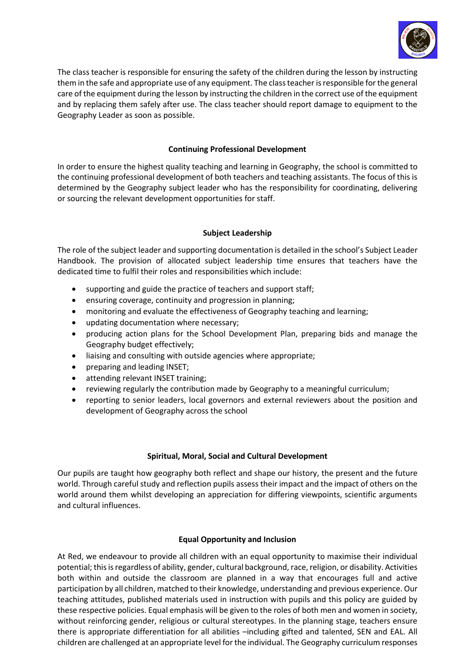

The class teacher is responsible for ensuring the safety of the children during the lesson by instructing them in the safe and appropriate use of any equipment. The class teacher is responsible for the general care of the equipment during the lesson by instructing the children in the correct use of the equipment and by replacing them safely after use. The class teacher should report damage to equipment to the Geography Leader as soon as possible.

# **Continuing Professional Development**

In order to ensure the highest quality teaching and learning in Geography, the school is committed to the continuing professional development of both teachers and teaching assistants. The focus of this is determined by the Geography subject leader who has the responsibility for coordinating, delivering or sourcing the relevant development opportunities for staff.

# **Subject Leadership**

The role of the subject leader and supporting documentation is detailed in the school's Subject Leader Handbook. The provision of allocated subject leadership time ensures that teachers have the dedicated time to fulfil their roles and responsibilities which include:

- supporting and guide the practice of teachers and support staff;
- ensuring coverage, continuity and progression in planning;
- monitoring and evaluate the effectiveness of Geography teaching and learning;
- updating documentation where necessary;
- producing action plans for the School Development Plan, preparing bids and manage the Geography budget effectively;
- liaising and consulting with outside agencies where appropriate;
- preparing and leading INSET;
- attending relevant INSET training;
- reviewing regularly the contribution made by Geography to a meaningful curriculum;
- reporting to senior leaders, local governors and external reviewers about the position and development of Geography across the school

# **Spiritual, Moral, Social and Cultural Development**

Our pupils are taught how geography both reflect and shape our history, the present and the future world. Through careful study and reflection pupils assess their impact and the impact of others on the world around them whilst developing an appreciation for differing viewpoints, scientific arguments and cultural influences.

# **Equal Opportunity and Inclusion**

At Red, we endeavour to provide all children with an equal opportunity to maximise their individual potential; this is regardless of ability, gender, cultural background, race, religion, or disability. Activities both within and outside the classroom are planned in a way that encourages full and active participation by all children, matched to their knowledge, understanding and previous experience. Our teaching attitudes, published materials used in instruction with pupils and this policy are guided by these respective policies. Equal emphasis will be given to the roles of both men and women in society, without reinforcing gender, religious or cultural stereotypes. In the planning stage, teachers ensure there is appropriate differentiation for all abilities –including gifted and talented, SEN and EAL. All children are challenged at an appropriate level for the individual. The Geography curriculum responses